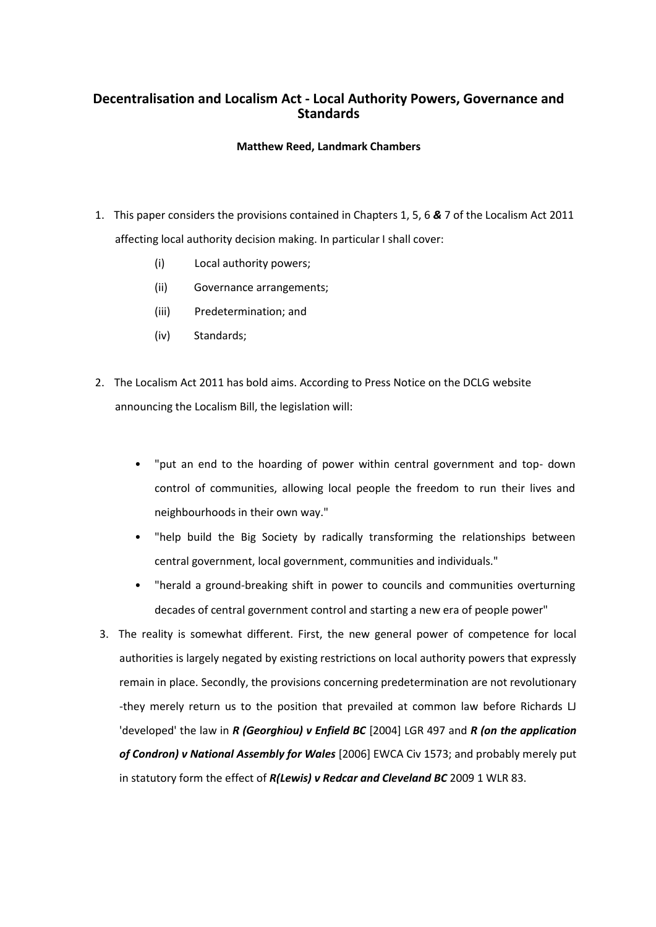# **Decentralisation and Localism Act - Local Authority Powers, Governance and Standards**

## **Matthew Reed, Landmark Chambers**

- 1. This paper considers the provisions contained in Chapters 1, 5, 6 *&* 7 of the Localism Act 2011 affecting local authority decision making. In particular I shall cover:
	- (i) Local authority powers;
	- (ii) Governance arrangements;
	- (iii) Predetermination; and
	- (iv) Standards;
- 2. The Localism Act 2011 has bold aims. According to Press Notice on the DCLG website announcing the Localism Bill, the legislation will:
	- "put an end to the hoarding of power within central government and top- down control of communities, allowing local people the freedom to run their lives and neighbourhoods in their own way."
	- "help build the Big Society by radically transforming the relationships between central government, local government, communities and individuals."
	- "herald a ground-breaking shift in power to councils and communities overturning decades of central government control and starting a new era of people power"
- 3. The reality is somewhat different. First, the new general power of competence for local authorities is largely negated by existing restrictions on local authority powers that expressly remain in place. Secondly, the provisions concerning predetermination are not revolutionary -they merely return us to the position that prevailed at common law before Richards LJ 'developed' the law in *R (Georghiou) v Enfield BC* [2004] LGR 497 and *R (on the application of Condron) v National Assembly for Wales* [2006] EWCA Civ 1573; and probably merely put in statutory form the effect of *R(Lewis) v Redcar and Cleveland BC* 2009 1 WLR 83.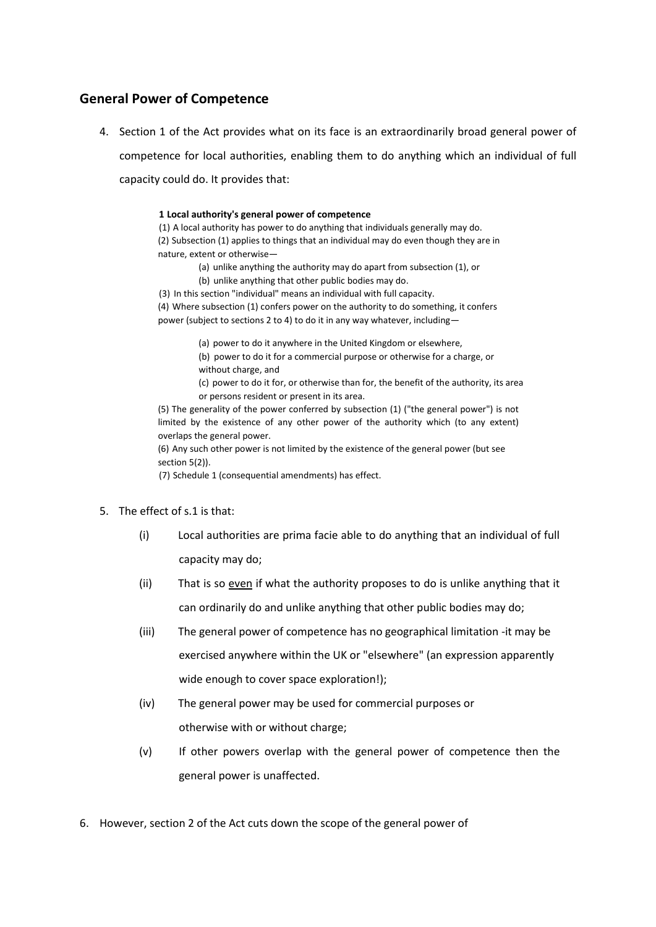# **General Power of Competence**

4. Section 1 of the Act provides what on its face is an extraordinarily broad general power of competence for local authorities, enabling them to do anything which an individual of full capacity could do. It provides that:

### **1 Local authority's general power of competence**

(1) A local authority has power to do anything that individuals generally may do. (2) Subsection (1) applies to things that an individual may do even though they are in nature, extent or otherwise—

(a) unlike anything the authority may do apart from subsection (1), or

(b) unlike anything that other public bodies may do.

(3) In this section "individual" means an individual with full capacity.

(4) Where subsection (1) confers power on the authority to do something, it confers power (subject to sections 2 to 4) to do it in any way whatever, including—

(a) power to do it anywhere in the United Kingdom or elsewhere,

(b) power to do it for a commercial purpose or otherwise for a charge, or without charge, and

(c) power to do it for, or otherwise than for, the benefit of the authority, its area or persons resident or present in its area.

(5) The generality of the power conferred by subsection (1) ("the general power") is not limited by the existence of any other power of the authority which (to any extent) overlaps the general power.

(6) Any such other power is not limited by the existence of the general power (but see section 5(2)).

(7) Schedule 1 (consequential amendments) has effect.

- 5. The effect of s.1 is that:
	- (i) Local authorities are prima facie able to do anything that an individual of full capacity may do;
	- (ii) That is so even if what the authority proposes to do is unlike anything that it can ordinarily do and unlike anything that other public bodies may do;
	- (iii) The general power of competence has no geographical limitation -it may be exercised anywhere within the UK or "elsewhere" (an expression apparently wide enough to cover space exploration!);
	- (iv) The general power may be used for commercial purposes or otherwise with or without charge;
	- (v) If other powers overlap with the general power of competence then the general power is unaffected.
- 6. However, section 2 of the Act cuts down the scope of the general power of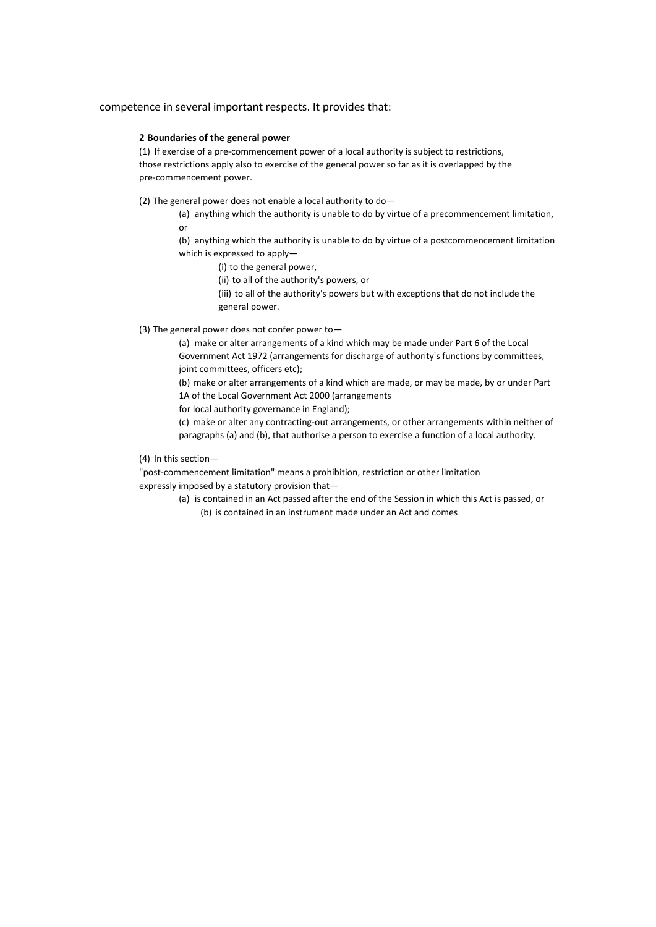#### competence in several important respects. It provides that:

### **2 Boundaries of the general power**

(1) If exercise of a pre-commencement power of a local authority is subject to restrictions, those restrictions apply also to exercise of the general power so far as it is overlapped by the pre-commencement power.

(2) The general power does not enable a local authority to do—

(a) anything which the authority is unable to do by virtue of a precommencement limitation, or

(b) anything which the authority is unable to do by virtue of a postcommencement limitation which is expressed to apply—

- (i) to the general power,
- (ii) to all of the authority's powers, or

(iii) to all of the authority's powers but with exceptions that do not include the general power.

(3) The general power does not confer power to—

(a) make or alter arrangements of a kind which may be made under Part 6 of the Local Government Act 1972 (arrangements for discharge of authority's functions by committees, joint committees, officers etc);

(b) make or alter arrangements of a kind which are made, or may be made, by or under Part 1A of the Local Government Act 2000 (arrangements

for local authority governance in England);

(c) make or alter any contracting-out arrangements, or other arrangements within neither of paragraphs (a) and (b), that authorise a person to exercise a function of a local authority.

(4) In this section—

"post-commencement limitation" means a prohibition, restriction or other limitation expressly imposed by a statutory provision that—

> (a) is contained in an Act passed after the end of the Session in which this Act is passed, or (b) is contained in an instrument made under an Act and comes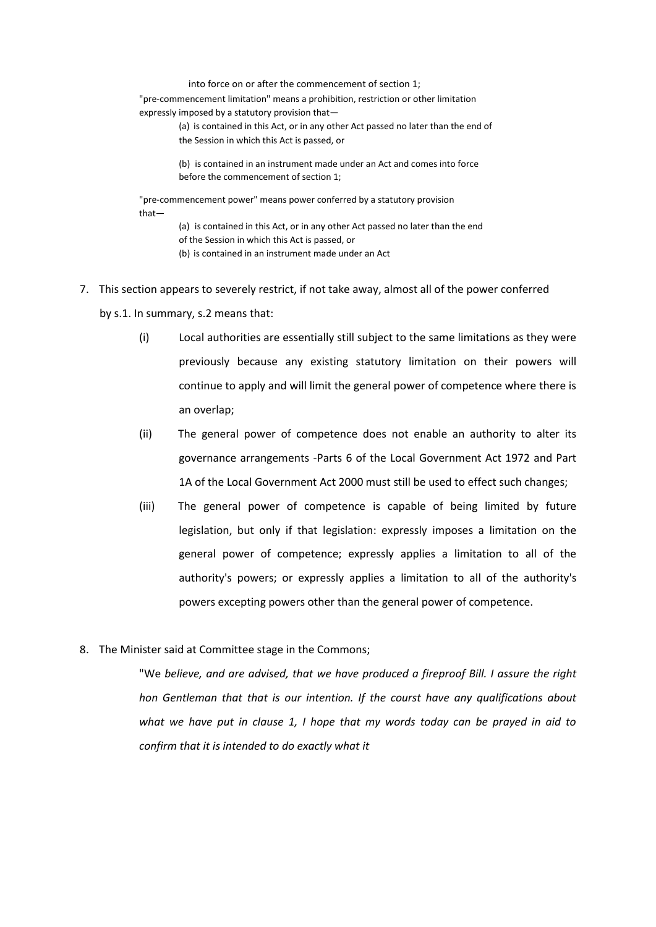into force on or after the commencement of section 1; "pre-commencement limitation" means a prohibition, restriction or other limitation expressly imposed by a statutory provision that—

> (a) is contained in this Act, or in any other Act passed no later than the end of the Session in which this Act is passed, or

(b) is contained in an instrument made under an Act and comes into force before the commencement of section 1;

"pre-commencement power" means power conferred by a statutory provision that—

> (a) is contained in this Act, or in any other Act passed no later than the end of the Session in which this Act is passed, or (b) is contained in an instrument made under an Act

# 7. This section appears to severely restrict, if not take away, almost all of the power conferred

by s.1. In summary, s.2 means that:

- (i) Local authorities are essentially still subject to the same limitations as they were previously because any existing statutory limitation on their powers will continue to apply and will limit the general power of competence where there is an overlap;
- (ii) The general power of competence does not enable an authority to alter its governance arrangements -Parts 6 of the Local Government Act 1972 and Part 1A of the Local Government Act 2000 must still be used to effect such changes;
- (iii) The general power of competence is capable of being limited by future legislation, but only if that legislation: expressly imposes a limitation on the general power of competence; expressly applies a limitation to all of the authority's powers; or expressly applies a limitation to all of the authority's powers excepting powers other than the general power of competence.
- 8. The Minister said at Committee stage in the Commons;

"We *believe, and are advised, that we have produced a fireproof Bill. I assure the right hon Gentleman that that is our intention. If the courst have any qualifications about what we have put in clause 1, I hope that my words today can be prayed in aid to confirm that it is intended to do exactly what it*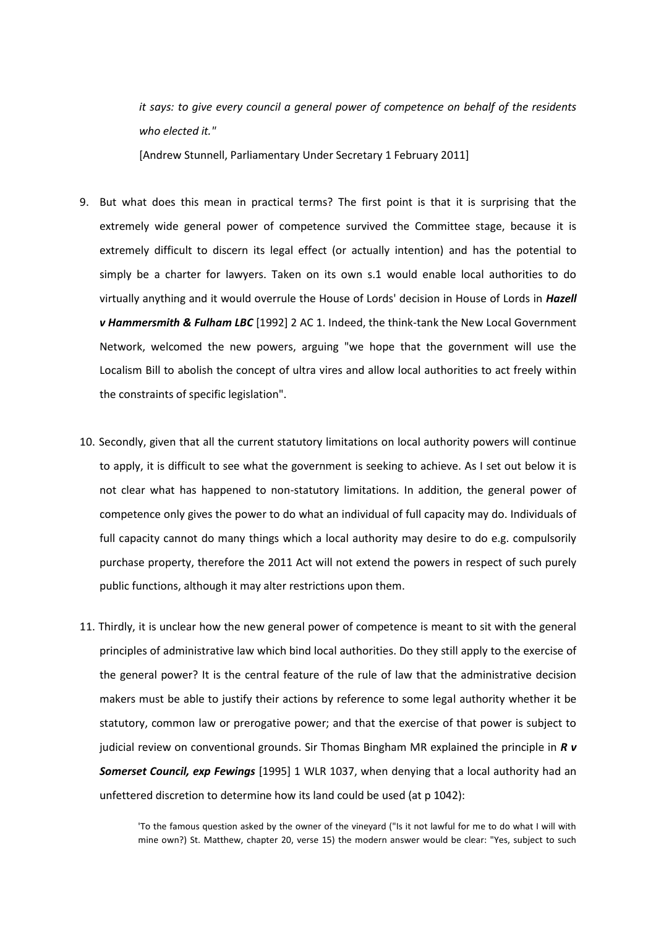*it says: to give every council a general power of competence on behalf of the residents who elected it."*

[Andrew Stunnell, Parliamentary Under Secretary 1 February 2011]

- 9. But what does this mean in practical terms? The first point is that it is surprising that the extremely wide general power of competence survived the Committee stage, because it is extremely difficult to discern its legal effect (or actually intention) and has the potential to simply be a charter for lawyers. Taken on its own s.1 would enable local authorities to do virtually anything and it would overrule the House of Lords' decision in House of Lords in *Hazell v Hammersmith & Fulham LBC* [1992] 2 AC 1. Indeed, the think-tank the New Local Government Network, welcomed the new powers, arguing "we hope that the government will use the Localism Bill to abolish the concept of ultra vires and allow local authorities to act freely within the constraints of specific legislation".
- 10. Secondly, given that all the current statutory limitations on local authority powers will continue to apply, it is difficult to see what the government is seeking to achieve. As I set out below it is not clear what has happened to non-statutory limitations. In addition, the general power of competence only gives the power to do what an individual of full capacity may do. Individuals of full capacity cannot do many things which a local authority may desire to do e.g. compulsorily purchase property, therefore the 2011 Act will not extend the powers in respect of such purely public functions, although it may alter restrictions upon them.
- 11. Thirdly, it is unclear how the new general power of competence is meant to sit with the general principles of administrative law which bind local authorities. Do they still apply to the exercise of the general power? It is the central feature of the rule of law that the administrative decision makers must be able to justify their actions by reference to some legal authority whether it be statutory, common law or prerogative power; and that the exercise of that power is subject to judicial review on conventional grounds. Sir Thomas Bingham MR explained the principle in *R v Somerset Council, exp Fewings* [1995] 1 WLR 1037, when denying that a local authority had an unfettered discretion to determine how its land could be used (at p 1042):

'To the famous question asked by the owner of the vineyard ("Is it not lawful for me to do what I will with mine own?) St. Matthew, chapter 20, verse 15) the modern answer would be clear: "Yes, subject to such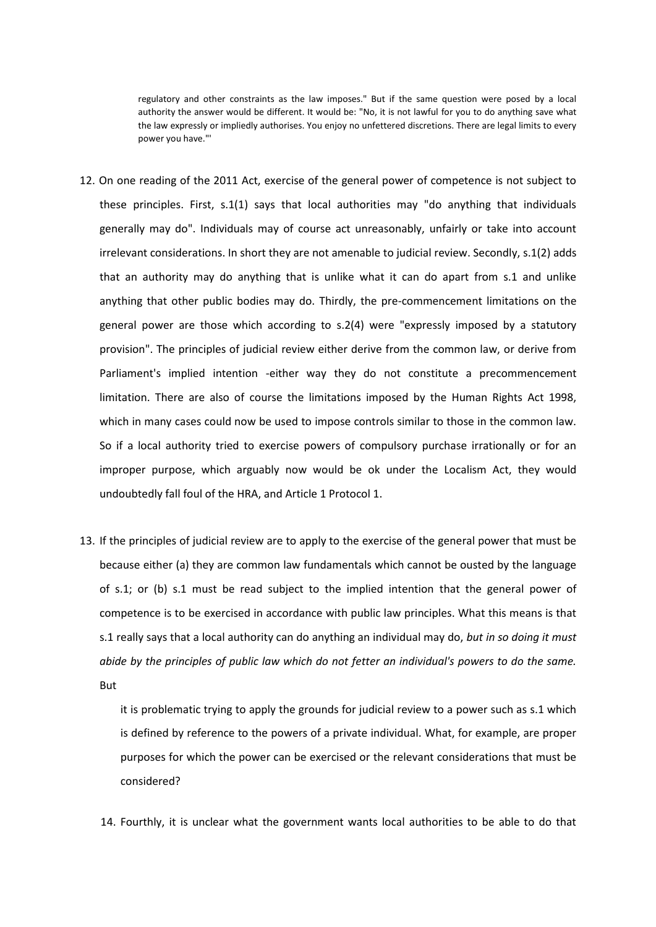regulatory and other constraints as the law imposes." But if the same question were posed by a local authority the answer would be different. It would be: "No, it is not lawful for you to do anything save what the law expressly or impliedly authorises. You enjoy no unfettered discretions. There are legal limits to every power you have."'

- 12. On one reading of the 2011 Act, exercise of the general power of competence is not subject to these principles. First, s.1(1) says that local authorities may "do anything that individuals generally may do". Individuals may of course act unreasonably, unfairly or take into account irrelevant considerations. In short they are not amenable to judicial review. Secondly, s.1(2) adds that an authority may do anything that is unlike what it can do apart from s.1 and unlike anything that other public bodies may do. Thirdly, the pre-commencement limitations on the general power are those which according to s.2(4) were "expressly imposed by a statutory provision". The principles of judicial review either derive from the common law, or derive from Parliament's implied intention -either way they do not constitute a precommencement limitation. There are also of course the limitations imposed by the Human Rights Act 1998, which in many cases could now be used to impose controls similar to those in the common law. So if a local authority tried to exercise powers of compulsory purchase irrationally or for an improper purpose, which arguably now would be ok under the Localism Act, they would undoubtedly fall foul of the HRA, and Article 1 Protocol 1.
- 13. If the principles of judicial review are to apply to the exercise of the general power that must be because either (a) they are common law fundamentals which cannot be ousted by the language of s.1; or (b) s.1 must be read subject to the implied intention that the general power of competence is to be exercised in accordance with public law principles. What this means is that s.1 really says that a local authority can do anything an individual may do, *but in so doing it must abide by the principles of public law which do not fetter an individual's powers to do the same.* But

it is problematic trying to apply the grounds for judicial review to a power such as s.1 which is defined by reference to the powers of a private individual. What, for example, are proper purposes for which the power can be exercised or the relevant considerations that must be considered?

14. Fourthly, it is unclear what the government wants local authorities to be able to do that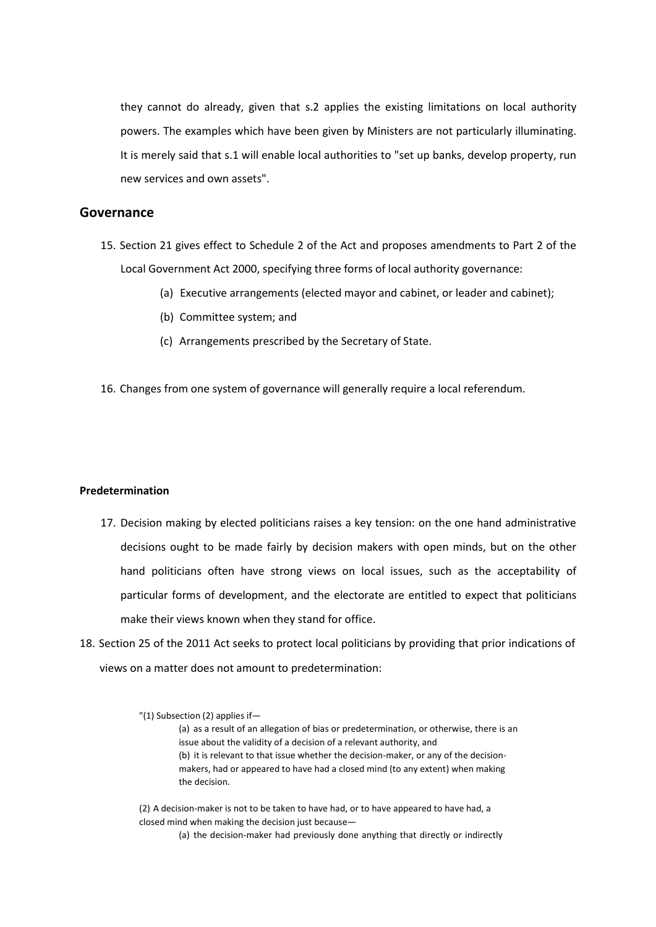they cannot do already, given that s.2 applies the existing limitations on local authority powers. The examples which have been given by Ministers are not particularly illuminating. It is merely said that s.1 will enable local authorities to "set up banks, develop property, run new services and own assets".

## **Governance**

- 15. Section 21 gives effect to Schedule 2 of the Act and proposes amendments to Part 2 of the Local Government Act 2000, specifying three forms of local authority governance:
	- (a) Executive arrangements (elected mayor and cabinet, or leader and cabinet);
	- (b) Committee system; and
	- (c) Arrangements prescribed by the Secretary of State.
- 16. Changes from one system of governance will generally require a local referendum.

### **Predetermination**

- 17. Decision making by elected politicians raises a key tension: on the one hand administrative decisions ought to be made fairly by decision makers with open minds, but on the other hand politicians often have strong views on local issues, such as the acceptability of particular forms of development, and the electorate are entitled to expect that politicians make their views known when they stand for office.
- 18. Section 25 of the 2011 Act seeks to protect local politicians by providing that prior indications of views on a matter does not amount to predetermination:

"(1) Subsection (2) applies if—

(a) as a result of an allegation of bias or predetermination, or otherwise, there is an issue about the validity of a decision of a relevant authority, and (b) it is relevant to that issue whether the decision-maker, or any of the decisionmakers, had or appeared to have had a closed mind (to any extent) when making the decision.

(2) A decision-maker is not to be taken to have had, or to have appeared to have had, a closed mind when making the decision just because—

(a) the decision-maker had previously done anything that directly or indirectly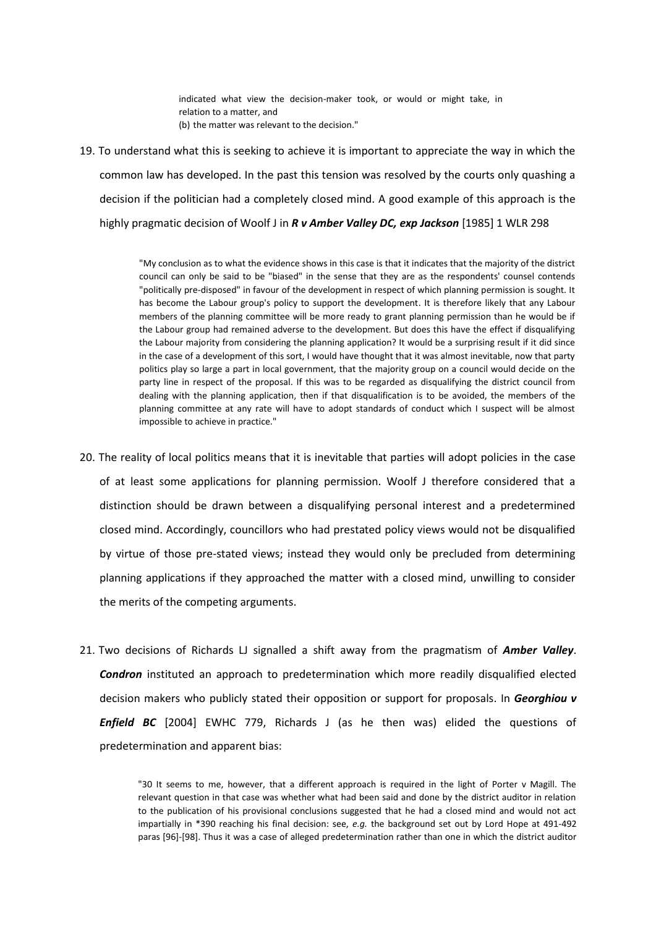indicated what view the decision-maker took, or would or might take, in relation to a matter, and (b) the matter was relevant to the decision."

19. To understand what this is seeking to achieve it is important to appreciate the way in which the common law has developed. In the past this tension was resolved by the courts only quashing a decision if the politician had a completely closed mind. A good example of this approach is the highly pragmatic decision of Woolf J in *R v Amber Valley DC, exp Jackson* [1985] 1 WLR 298

> "My conclusion as to what the evidence shows in this case is that it indicates that the majority of the district council can only be said to be "biased" in the sense that they are as the respondents' counsel contends "politically pre-disposed" in favour of the development in respect of which planning permission is sought. It has become the Labour group's policy to support the development. It is therefore likely that any Labour members of the planning committee will be more ready to grant planning permission than he would be if the Labour group had remained adverse to the development. But does this have the effect if disqualifying the Labour majority from considering the planning application? It would be a surprising result if it did since in the case of a development of this sort, I would have thought that it was almost inevitable, now that party politics play so large a part in local government, that the majority group on a council would decide on the party line in respect of the proposal. If this was to be regarded as disqualifying the district council from dealing with the planning application, then if that disqualification is to be avoided, the members of the planning committee at any rate will have to adopt standards of conduct which I suspect will be almost impossible to achieve in practice."

- 20. The reality of local politics means that it is inevitable that parties will adopt policies in the case of at least some applications for planning permission. Woolf J therefore considered that a distinction should be drawn between a disqualifying personal interest and a predetermined closed mind. Accordingly, councillors who had prestated policy views would not be disqualified by virtue of those pre-stated views; instead they would only be precluded from determining planning applications if they approached the matter with a closed mind, unwilling to consider the merits of the competing arguments.
- 21. Two decisions of Richards LJ signalled a shift away from the pragmatism of *Amber Valley*. *Condron* instituted an approach to predetermination which more readily disqualified elected decision makers who publicly stated their opposition or support for proposals. In *Georghiou v Enfield BC* [2004] EWHC 779, Richards J (as he then was) elided the questions of predetermination and apparent bias:

"30 It seems to me, however, that a different approach is required in the light of Porter v Magill. The relevant question in that case was whether what had been said and done by the district auditor in relation to the publication of his provisional conclusions suggested that he had a closed mind and would not act impartially in \*390 reaching his final decision: see, *e.g.* the background set out by Lord Hope at 491-492 paras [96]-[98]. Thus it was a case of alleged predetermination rather than one in which the district auditor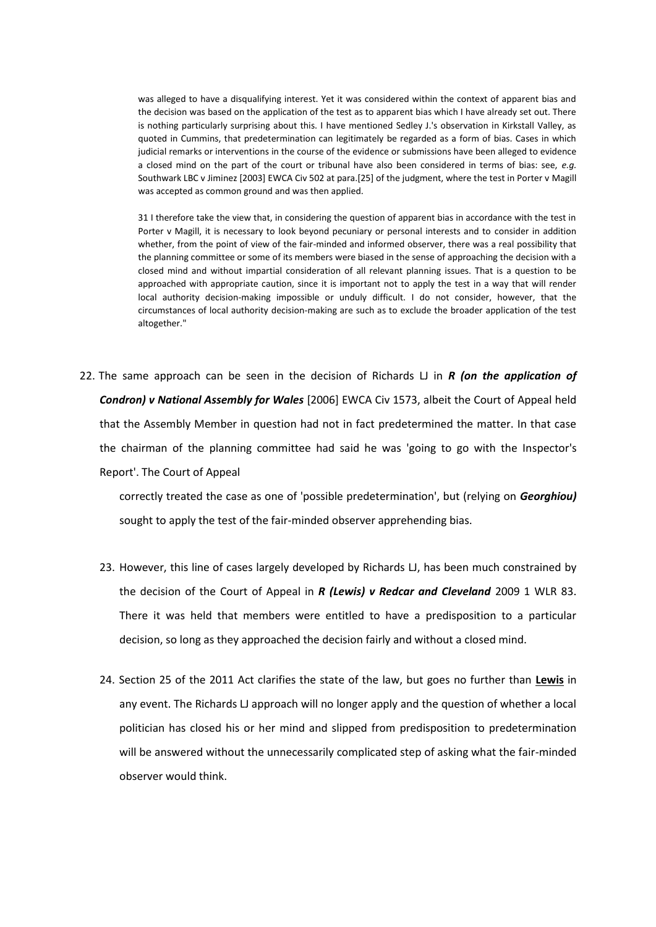was alleged to have a disqualifying interest. Yet it was considered within the context of apparent bias and the decision was based on the application of the test as to apparent bias which I have already set out. There is nothing particularly surprising about this. I have mentioned Sedley J.'s observation in Kirkstall Valley, as quoted in Cummins, that predetermination can legitimately be regarded as a form of bias. Cases in which judicial remarks or interventions in the course of the evidence or submissions have been alleged to evidence a closed mind on the part of the court or tribunal have also been considered in terms of bias: see, *e.g.* Southwark LBC v Jiminez [2003] EWCA Civ 502 at para.[25] of the judgment, where the test in Porter v Magill was accepted as common ground and was then applied.

31 I therefore take the view that, in considering the question of apparent bias in accordance with the test in Porter v Magill, it is necessary to look beyond pecuniary or personal interests and to consider in addition whether, from the point of view of the fair-minded and informed observer, there was a real possibility that the planning committee or some of its members were biased in the sense of approaching the decision with a closed mind and without impartial consideration of all relevant planning issues. That is a question to be approached with appropriate caution, since it is important not to apply the test in a way that will render local authority decision-making impossible or unduly difficult. I do not consider, however, that the circumstances of local authority decision-making are such as to exclude the broader application of the test altogether."

22. The same approach can be seen in the decision of Richards LJ in *R (on the application of Condron) v National Assembly for Wales* [2006] EWCA Civ 1573, albeit the Court of Appeal held that the Assembly Member in question had not in fact predetermined the matter. In that case the chairman of the planning committee had said he was 'going to go with the Inspector's Report'. The Court of Appeal

correctly treated the case as one of 'possible predetermination', but (relying on *Georghiou)* sought to apply the test of the fair-minded observer apprehending bias.

- 23. However, this line of cases largely developed by Richards LJ, has been much constrained by the decision of the Court of Appeal in *R (Lewis) v Redcar and Cleveland* 2009 1 WLR 83. There it was held that members were entitled to have a predisposition to a particular decision, so long as they approached the decision fairly and without a closed mind.
- 24. Section 25 of the 2011 Act clarifies the state of the law, but goes no further than **Lewis** in any event. The Richards LJ approach will no longer apply and the question of whether a local politician has closed his or her mind and slipped from predisposition to predetermination will be answered without the unnecessarily complicated step of asking what the fair-minded observer would think.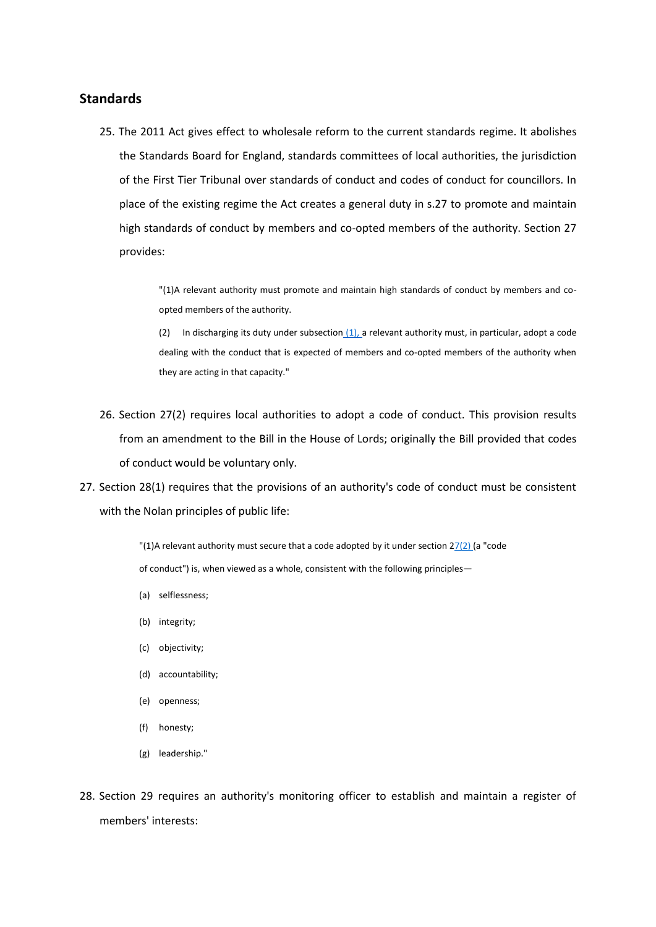# **Standards**

25. The 2011 Act gives effect to wholesale reform to the current standards regime. It abolishes the Standards Board for England, standards committees of local authorities, the jurisdiction of the First Tier Tribunal over standards of conduct and codes of conduct for councillors. In place of the existing regime the Act creates a general duty in s.27 to promote and maintain high standards of conduct by members and co-opted members of the authority. Section 27 provides:

> "(1)A relevant authority must promote and maintain high standards of conduct by members and coopted members of the authority.

> (2) In discharging its duty under subsection [\(1\), a](http://www.legislation.gov.uk/ukpga/2011/20/section/27/enacted%23section-27-1%23section-27-1) relevant authority must, in particular, adopt a code dealing with the conduct that is expected of members and co-opted members of the authority when they are acting in that capacity."

- 26. Section 27(2) requires local authorities to adopt a code of conduct. This provision results from an amendment to the Bill in the House of Lords; originally the Bill provided that codes of conduct would be voluntary only.
- 27. Section 28(1) requires that the provisions of an authority's code of conduct must be consistent with the Nolan principles of public life:

"(1)A relevant authority must secure that a code adopted by it under section  $27(2)$  (a "code of conduct") is, when viewed as a whole, consistent with the following principles—

- (a) selflessness;
- (b) integrity;
- (c) objectivity;
- (d) accountability;
- (e) openness;
- (f) honesty;
- (g) leadership."
- 28. Section 29 requires an authority's monitoring officer to establish and maintain a register of members' interests: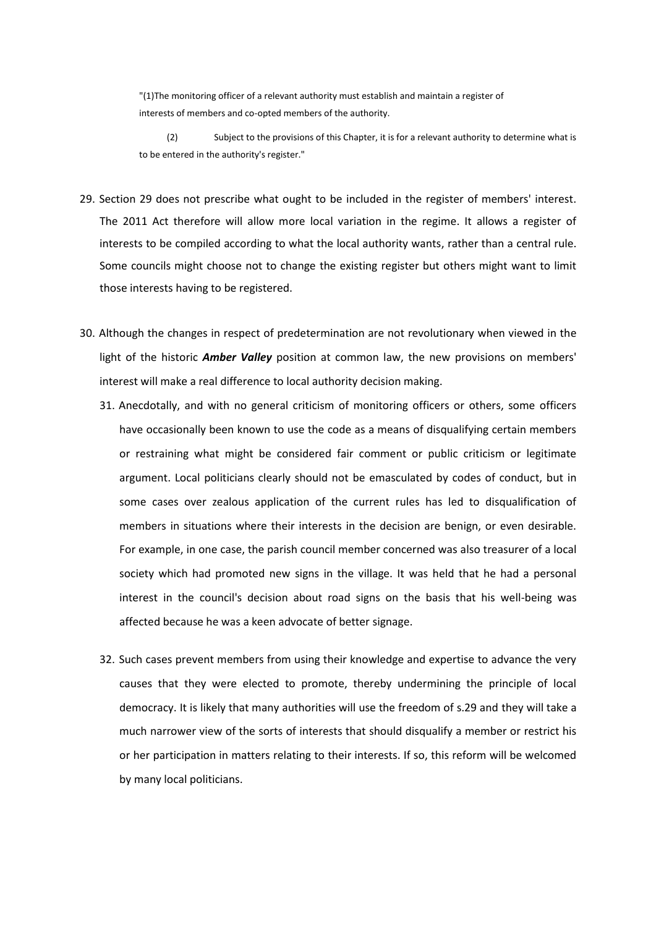"(1)The monitoring officer of a relevant authority must establish and maintain a register of interests of members and co-opted members of the authority.

(2) Subject to the provisions of this Chapter, it is for a relevant authority to determine what is to be entered in the authority's register."

- 29. Section 29 does not prescribe what ought to be included in the register of members' interest. The 2011 Act therefore will allow more local variation in the regime. It allows a register of interests to be compiled according to what the local authority wants, rather than a central rule. Some councils might choose not to change the existing register but others might want to limit those interests having to be registered.
- 30. Although the changes in respect of predetermination are not revolutionary when viewed in the light of the historic *Amber Valley* position at common law, the new provisions on members' interest will make a real difference to local authority decision making.
	- 31. Anecdotally, and with no general criticism of monitoring officers or others, some officers have occasionally been known to use the code as a means of disqualifying certain members or restraining what might be considered fair comment or public criticism or legitimate argument. Local politicians clearly should not be emasculated by codes of conduct, but in some cases over zealous application of the current rules has led to disqualification of members in situations where their interests in the decision are benign, or even desirable. For example, in one case, the parish council member concerned was also treasurer of a local society which had promoted new signs in the village. It was held that he had a personal interest in the council's decision about road signs on the basis that his well-being was affected because he was a keen advocate of better signage.
	- 32. Such cases prevent members from using their knowledge and expertise to advance the very causes that they were elected to promote, thereby undermining the principle of local democracy. It is likely that many authorities will use the freedom of s.29 and they will take a much narrower view of the sorts of interests that should disqualify a member or restrict his or her participation in matters relating to their interests. If so, this reform will be welcomed by many local politicians.